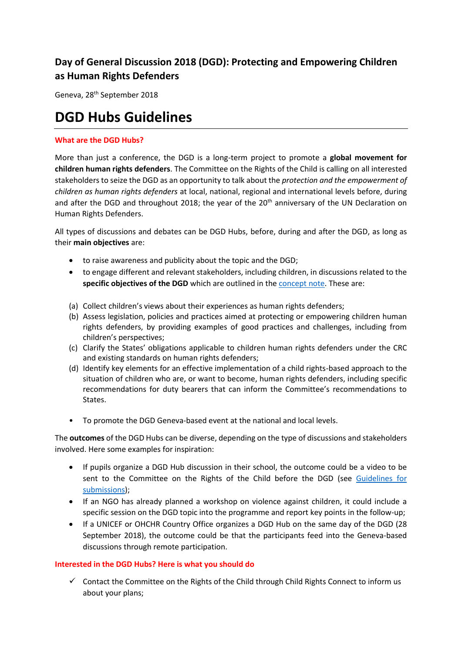## **Day of General Discussion 2018 (DGD): Protecting and Empowering Children as Human Rights Defenders**

Geneva, 28<sup>th</sup> September 2018

## **DGD Hubs Guidelines**

## **What are the DGD Hubs?**

More than just a conference, the DGD is a long-term project to promote a **global movement for children human rights defenders**. The Committee on the Rights of the Child is calling on all interested stakeholders to seize the DGD as an opportunity to talk about the *protection and the empowerment of children as human rights defenders* at local, national, regional and international levels before, during and after the DGD and throughout 2018; the year of the  $20<sup>th</sup>$  anniversary of the UN Declaration on Human Rights Defenders.

All types of discussions and debates can be DGD Hubs, before, during and after the DGD, as long as their **main objectives** are:

- to raise awareness and publicity about the topic and the DGD;
- to engage different and relevant stakeholders, including children, in discussions related to the **specific objectives of the DGD** which are outlined in the [concept note.](http://www.ohchr.org/EN/HRBodies/CRC/Pages/Discussion2018.aspx) These are:
- (a) Collect children's views about their experiences as human rights defenders;
- (b) Assess legislation, policies and practices aimed at protecting or empowering children human rights defenders, by providing examples of good practices and challenges, including from children's perspectives;
- (c) Clarify the States' obligations applicable to children human rights defenders under the CRC and existing standards on human rights defenders;
- (d) Identify key elements for an effective implementation of a child rights-based approach to the situation of children who are, or want to become, human rights defenders, including specific recommendations for duty bearers that can inform the Committee's recommendations to States.
- To promote the DGD Geneva-based event at the national and local levels.

The **outcomes** of the DGD Hubs can be diverse, depending on the type of discussions and stakeholders involved. Here some examples for inspiration:

- If pupils organize a DGD Hub discussion in their school, the outcome could be a video to be sent to the Committee on the Rights of the Child before the DGD (see [Guidelines for](http://www.ohchr.org/EN/HRBodies/CRC/Pages/Discussion2018.aspx)  [submissions\)](http://www.ohchr.org/EN/HRBodies/CRC/Pages/Discussion2018.aspx);
- If an NGO has already planned a workshop on violence against children, it could include a specific session on the DGD topic into the programme and report key points in the follow-up;
- If a UNICEF or OHCHR Country Office organizes a DGD Hub on the same day of the DGD (28 September 2018), the outcome could be that the participants feed into the Geneva-based discussions through remote participation.

## **Interested in the DGD Hubs? Here is what you should do**

 $\checkmark$  Contact the Committee on the Rights of the Child through Child Rights Connect to inform us about your plans;